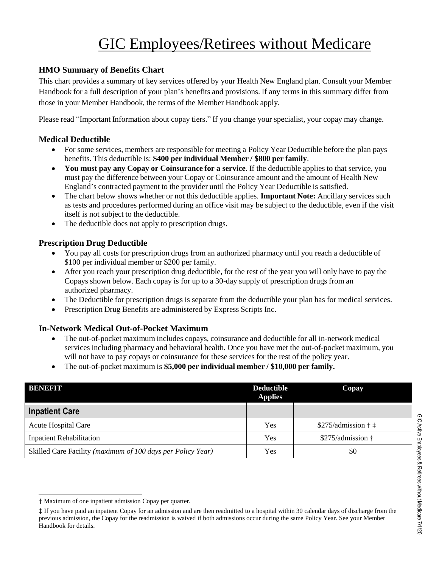# GIC Employees/Retirees without Medicare

# **HMO Summary of Benefits Chart**

This chart provides a summary of key services offered by your Health New England plan. Consult your Member Handbook for a full description of your plan's benefits and provisions. If any terms in this summary differ from those in your Member Handbook, the terms of the Member Handbook apply.

Please read "Important Information about copay tiers." If you change your specialist, your copay may change.

#### **Medical Deductible**

- For some services, members are responsible for meeting a Policy Year Deductible before the plan pays benefits. This deductible is: **\$400 per individual Member / \$800 per family**.
- **You must pay any Copay or Coinsurance for a service**. If the deductible applies to that service, you must pay the difference between your Copay or Coinsurance amount and the amount of Health New England's contracted payment to the provider until the Policy Year Deductible is satisfied.
- The chart below shows whether or not this deductible applies. **Important Note:** Ancillary services such as tests and procedures performed during an office visit may be subject to the deductible, even if the visit itself is not subject to the deductible.
- The deductible does not apply to prescription drugs.

## **Prescription Drug Deductible**

- You pay all costs for prescription drugs from an authorized pharmacy until you reach a deductible of \$100 per individual member or \$200 per family.
- After you reach your prescription drug deductible, for the rest of the year you will only have to pay the Copays shown below. Each copay is for up to a 30-day supply of prescription drugs from an authorized pharmacy.
- The Deductible for prescription drugs is separate from the deductible your plan has for medical services.
- Prescription Drug Benefits are administered by Express Scripts Inc.

## **In-Network Medical Out-of-Pocket Maximum**

- The out-of-pocket maximum includes copays, coinsurance and deductible for all in-network medical services including pharmacy and behavioral health. Once you have met the out-of-pocket maximum, you will not have to pay copays or coinsurance for these services for the rest of the policy year.
- The out-of-pocket maximum is **\$5,000 per individual member / \$10,000 per family.**

| BENETT                                                      | <b>Deductible</b><br><b>Applies</b> | <b>Copay</b>                           |
|-------------------------------------------------------------|-------------------------------------|----------------------------------------|
| <b>Inpatient Care</b>                                       |                                     |                                        |
| <b>Acute Hospital Care</b>                                  | Yes                                 | $$275$ /admission $\dagger$ $\ddagger$ |
| <b>Inpatient Rehabilitation</b>                             | Yes                                 | \$275/admission †                      |
| Skilled Care Facility (maximum of 100 days per Policy Year) | Yes                                 | \$0                                    |

<sup>†</sup> Maximum of one inpatient admission Copay per quarter.

<sup>‡</sup> If you have paid an inpatient Copay for an admission and are then readmitted to a hospital within 30 calendar days of discharge from the previous admission, the Copay for the readmission is waived if both admissions occur during the same Policy Year. See your Member Handbook for details.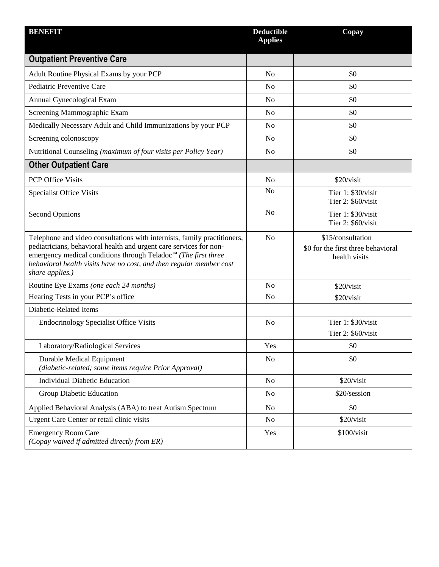| <b>BENEFIT</b>                                                                                                                                                                                                                                                                                                         | <b>Deductible</b><br><b>Applies</b> | Copay                                                                    |
|------------------------------------------------------------------------------------------------------------------------------------------------------------------------------------------------------------------------------------------------------------------------------------------------------------------------|-------------------------------------|--------------------------------------------------------------------------|
| <b>Outpatient Preventive Care</b>                                                                                                                                                                                                                                                                                      |                                     |                                                                          |
| Adult Routine Physical Exams by your PCP                                                                                                                                                                                                                                                                               | N <sub>o</sub>                      | \$0                                                                      |
| Pediatric Preventive Care                                                                                                                                                                                                                                                                                              | N <sub>o</sub>                      | \$0                                                                      |
| Annual Gynecological Exam                                                                                                                                                                                                                                                                                              | N <sub>o</sub>                      | \$0                                                                      |
| Screening Mammographic Exam                                                                                                                                                                                                                                                                                            | N <sub>o</sub>                      | \$0                                                                      |
| Medically Necessary Adult and Child Immunizations by your PCP                                                                                                                                                                                                                                                          | N <sub>o</sub>                      | \$0                                                                      |
| Screening colonoscopy                                                                                                                                                                                                                                                                                                  | N <sub>o</sub>                      | \$0                                                                      |
| Nutritional Counseling (maximum of four visits per Policy Year)                                                                                                                                                                                                                                                        | N <sub>o</sub>                      | \$0                                                                      |
| <b>Other Outpatient Care</b>                                                                                                                                                                                                                                                                                           |                                     |                                                                          |
| <b>PCP Office Visits</b>                                                                                                                                                                                                                                                                                               | No                                  | \$20/visit                                                               |
| <b>Specialist Office Visits</b>                                                                                                                                                                                                                                                                                        | N <sub>o</sub>                      | Tier 1: \$30/visit<br>Tier 2: \$60/visit                                 |
| <b>Second Opinions</b>                                                                                                                                                                                                                                                                                                 | N <sub>o</sub>                      | Tier 1: \$30/visit<br>Tier 2: \$60/visit                                 |
| Telephone and video consultations with internists, family practitioners,<br>pediatricians, behavioral health and urgent care services for non-<br>emergency medical conditions through Teladoc <sup>™</sup> (The first three<br>behavioral health visits have no cost, and then regular member cost<br>share applies.) | N <sub>o</sub>                      | \$15/consultation<br>\$0 for the first three behavioral<br>health visits |
| Routine Eye Exams (one each 24 months)                                                                                                                                                                                                                                                                                 | N <sub>o</sub>                      | \$20/visit                                                               |
| Hearing Tests in your PCP's office                                                                                                                                                                                                                                                                                     | No                                  | \$20/visit                                                               |
| Diabetic-Related Items                                                                                                                                                                                                                                                                                                 |                                     |                                                                          |
| <b>Endocrinology Specialist Office Visits</b>                                                                                                                                                                                                                                                                          | N <sub>o</sub>                      | Tier 1: \$30/visit<br>Tier 2: \$60/visit                                 |
| Laboratory/Radiological Services                                                                                                                                                                                                                                                                                       | Yes                                 | \$0                                                                      |
| <b>Durable Medical Equipment</b><br>(diabetic-related; some items require Prior Approval)                                                                                                                                                                                                                              | N <sub>o</sub>                      | \$0                                                                      |
| <b>Individual Diabetic Education</b>                                                                                                                                                                                                                                                                                   | N <sub>o</sub>                      | \$20/visit                                                               |
| Group Diabetic Education                                                                                                                                                                                                                                                                                               | No                                  | \$20/session                                                             |
| Applied Behavioral Analysis (ABA) to treat Autism Spectrum                                                                                                                                                                                                                                                             | No                                  | \$0                                                                      |
| Urgent Care Center or retail clinic visits                                                                                                                                                                                                                                                                             | No                                  | \$20/visit                                                               |
| <b>Emergency Room Care</b><br>(Copay waived if admitted directly from ER)                                                                                                                                                                                                                                              | Yes                                 | \$100/visit                                                              |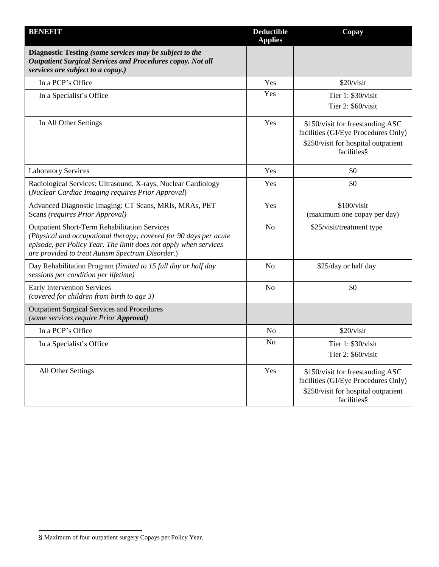| <b>BENEFIT</b>                                                                                                                                                                                                                                    | <b>Deductible</b><br><b>Applies</b> | Copay                                                                                                                         |
|---------------------------------------------------------------------------------------------------------------------------------------------------------------------------------------------------------------------------------------------------|-------------------------------------|-------------------------------------------------------------------------------------------------------------------------------|
| Diagnostic Testing (some services may be subject to the<br><b>Outpatient Surgical Services and Procedures copay. Not all</b><br>services are subject to a copay.)                                                                                 |                                     |                                                                                                                               |
| In a PCP's Office                                                                                                                                                                                                                                 | Yes                                 | \$20/visit                                                                                                                    |
| In a Specialist's Office                                                                                                                                                                                                                          | Yes                                 | Tier 1: \$30/visit<br>Tier 2: \$60/visit                                                                                      |
| In All Other Settings                                                                                                                                                                                                                             | Yes                                 | \$150/visit for freestanding ASC<br>facilities (GI/Eye Procedures Only)<br>\$250/visit for hospital outpatient<br>facilities§ |
| <b>Laboratory Services</b>                                                                                                                                                                                                                        | Yes                                 | \$0                                                                                                                           |
| Radiological Services: Ultrasound, X-rays, Nuclear Cardiology<br>(Nuclear Cardiac Imaging requires Prior Approval)                                                                                                                                | Yes                                 | \$0                                                                                                                           |
| Advanced Diagnostic Imaging: CT Scans, MRIs, MRAs, PET<br>Scans (requires Prior Approval)                                                                                                                                                         | Yes                                 | \$100/visit<br>(maximum one copay per day)                                                                                    |
| <b>Outpatient Short-Term Rehabilitation Services</b><br>(Physical and occupational therapy; covered for 90 days per acute<br>episode, per Policy Year. The limit does not apply when services<br>are provided to treat Autism Spectrum Disorder.) | N <sub>o</sub>                      | \$25/visit/treatment type                                                                                                     |
| Day Rehabilitation Program (limited to 15 full day or half day<br>sessions per condition per lifetime)                                                                                                                                            | N <sub>o</sub>                      | \$25/day or half day                                                                                                          |
| <b>Early Intervention Services</b><br>(covered for children from birth to age 3)                                                                                                                                                                  | N <sub>o</sub>                      | \$0                                                                                                                           |
| <b>Outpatient Surgical Services and Procedures</b><br>(some services require Prior Approval)                                                                                                                                                      |                                     |                                                                                                                               |
| In a PCP's Office                                                                                                                                                                                                                                 | N <sub>o</sub>                      | \$20/visit                                                                                                                    |
| In a Specialist's Office                                                                                                                                                                                                                          | N <sub>o</sub>                      | Tier 1: \$30/visit                                                                                                            |
|                                                                                                                                                                                                                                                   |                                     | Tier 2: \$60/visit                                                                                                            |
| All Other Settings                                                                                                                                                                                                                                | Yes                                 | \$150/visit for freestanding ASC<br>facilities (GI/Eye Procedures Only)<br>\$250/visit for hospital outpatient<br>facilities§ |

<sup>§</sup> Maximum of four outpatient surgery Copays per Policy Year.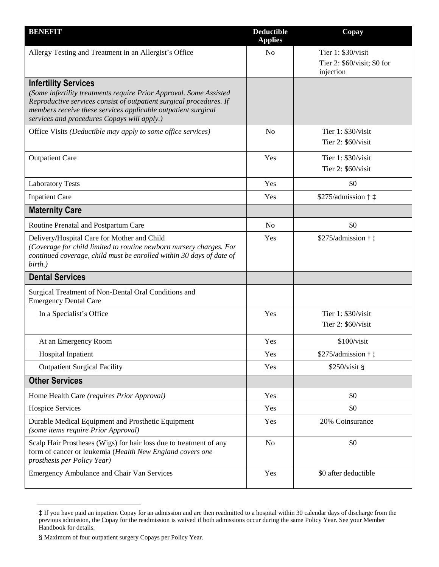| <b>BENEFIT</b>                                                                                                                                                                                                                                                                           | <b>Deductible</b><br><b>Applies</b> | Copay                                                          |
|------------------------------------------------------------------------------------------------------------------------------------------------------------------------------------------------------------------------------------------------------------------------------------------|-------------------------------------|----------------------------------------------------------------|
| Allergy Testing and Treatment in an Allergist's Office                                                                                                                                                                                                                                   | N <sub>o</sub>                      | Tier 1: \$30/visit<br>Tier 2: \$60/visit; \$0 for<br>injection |
| <b>Infertility Services</b><br>(Some infertility treatments require Prior Approval. Some Assisted<br>Reproductive services consist of outpatient surgical procedures. If<br>members receive these services applicable outpatient surgical<br>services and procedures Copays will apply.) |                                     |                                                                |
| Office Visits (Deductible may apply to some office services)                                                                                                                                                                                                                             | N <sub>o</sub>                      | Tier 1: \$30/visit<br>Tier 2: \$60/visit                       |
| <b>Outpatient Care</b>                                                                                                                                                                                                                                                                   | Yes                                 | Tier 1: \$30/visit<br>Tier 2: \$60/visit                       |
| <b>Laboratory Tests</b>                                                                                                                                                                                                                                                                  | Yes                                 | \$0                                                            |
| <b>Inpatient Care</b>                                                                                                                                                                                                                                                                    | Yes                                 | $$275$ /admission $\dagger$ $\ddagger$                         |
| <b>Maternity Care</b>                                                                                                                                                                                                                                                                    |                                     |                                                                |
| Routine Prenatal and Postpartum Care                                                                                                                                                                                                                                                     | N <sub>o</sub>                      | \$0                                                            |
| Delivery/Hospital Care for Mother and Child<br>(Coverage for child limited to routine newborn nursery charges. For<br>continued coverage, child must be enrolled within 30 days of date of<br>birth.)                                                                                    | Yes                                 | $$275$ /admission $\dagger$ $\ddagger$                         |
| <b>Dental Services</b>                                                                                                                                                                                                                                                                   |                                     |                                                                |
| Surgical Treatment of Non-Dental Oral Conditions and<br><b>Emergency Dental Care</b>                                                                                                                                                                                                     |                                     |                                                                |
| In a Specialist's Office                                                                                                                                                                                                                                                                 | Yes                                 | Tier 1: \$30/visit<br>Tier $2: $60/visit$                      |
| At an Emergency Room                                                                                                                                                                                                                                                                     | Yes                                 | \$100/visit                                                    |
| <b>Hospital Inpatient</b>                                                                                                                                                                                                                                                                | Yes                                 | \$275/admission † ‡                                            |
| <b>Outpatient Surgical Facility</b>                                                                                                                                                                                                                                                      | Yes                                 | \$250/visit §                                                  |
| <b>Other Services</b>                                                                                                                                                                                                                                                                    |                                     |                                                                |
| Home Health Care (requires Prior Approval)                                                                                                                                                                                                                                               | Yes                                 | \$0                                                            |
| <b>Hospice Services</b>                                                                                                                                                                                                                                                                  | Yes                                 | \$0                                                            |
| Durable Medical Equipment and Prosthetic Equipment<br>(some items require Prior Approval)                                                                                                                                                                                                | Yes                                 | 20% Coinsurance                                                |
| Scalp Hair Prostheses (Wigs) for hair loss due to treatment of any<br>form of cancer or leukemia (Health New England covers one<br>prosthesis per Policy Year)                                                                                                                           | N <sub>o</sub>                      | \$0                                                            |
| <b>Emergency Ambulance and Chair Van Services</b>                                                                                                                                                                                                                                        | Yes                                 | \$0 after deductible                                           |

<sup>‡</sup> If you have paid an inpatient Copay for an admission and are then readmitted to a hospital within 30 calendar days of discharge from the previous admission, the Copay for the readmission is waived if both admissions occur during the same Policy Year. See your Member Handbook for details.

<sup>§</sup> Maximum of four outpatient surgery Copays per Policy Year.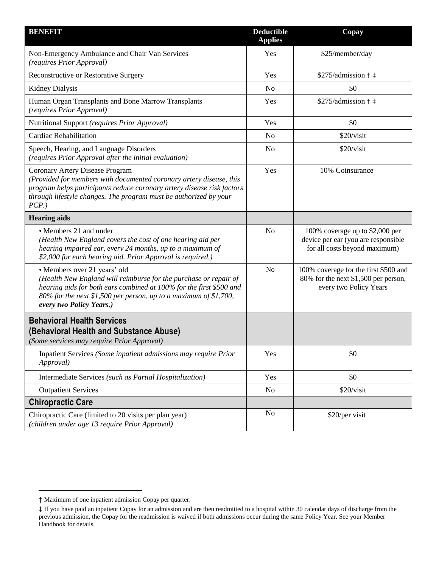| <b>BENEFIT</b>                                                                                                                                                                                                                                                          | <b>Deductible</b><br><b>Applies</b> | Copay                                                                                                   |
|-------------------------------------------------------------------------------------------------------------------------------------------------------------------------------------------------------------------------------------------------------------------------|-------------------------------------|---------------------------------------------------------------------------------------------------------|
| Non-Emergency Ambulance and Chair Van Services<br>(requires Prior Approval)                                                                                                                                                                                             | Yes                                 | \$25/member/day                                                                                         |
| Reconstructive or Restorative Surgery                                                                                                                                                                                                                                   | Yes                                 | $$275$ /admission $\dagger$ $\ddagger$                                                                  |
| <b>Kidney Dialysis</b>                                                                                                                                                                                                                                                  | No                                  | \$0                                                                                                     |
| Human Organ Transplants and Bone Marrow Transplants<br>(requires Prior Approval)                                                                                                                                                                                        | Yes                                 | $$275$ /admission $\dagger$ $\ddagger$                                                                  |
| Nutritional Support (requires Prior Approval)                                                                                                                                                                                                                           | Yes                                 | \$0                                                                                                     |
| <b>Cardiac Rehabilitation</b>                                                                                                                                                                                                                                           | N <sub>o</sub>                      | \$20/visit                                                                                              |
| Speech, Hearing, and Language Disorders<br>(requires Prior Approval after the initial evaluation)                                                                                                                                                                       | N <sub>o</sub>                      | \$20/visit                                                                                              |
| Coronary Artery Disease Program<br>(Provided for members with documented coronary artery disease, this<br>program helps participants reduce coronary artery disease risk factors<br>through lifestyle changes. The program must be authorized by your<br>$PCP.$ )       | Yes                                 | 10% Coinsurance                                                                                         |
| <b>Hearing aids</b>                                                                                                                                                                                                                                                     |                                     |                                                                                                         |
| • Members 21 and under<br>(Health New England covers the cost of one hearing aid per<br>hearing impaired ear, every 24 months, up to a maximum of<br>\$2,000 for each hearing aid. Prior Approval is required.)                                                         | N <sub>o</sub>                      | 100% coverage up to \$2,000 per<br>device per ear (you are responsible<br>for all costs beyond maximum) |
| · Members over 21 years' old<br>(Health New England will reimburse for the purchase or repair of<br>hearing aids for both ears combined at 100% for the first \$500 and<br>80% for the next \$1,500 per person, up to a maximum of \$1,700,<br>every two Policy Years.) | N <sub>o</sub>                      | 100% coverage for the first \$500 and<br>80% for the next \$1,500 per person,<br>every two Policy Years |
| <b>Behavioral Health Services</b><br>(Behavioral Health and Substance Abuse)<br>(Some services may require Prior Approval)                                                                                                                                              |                                     |                                                                                                         |
| Inpatient Services (Some inpatient admissions may require Prior<br>Approval)                                                                                                                                                                                            | Yes                                 | \$0                                                                                                     |
| Intermediate Services (such as Partial Hospitalization)                                                                                                                                                                                                                 | Yes                                 | \$0                                                                                                     |
| <b>Outpatient Services</b>                                                                                                                                                                                                                                              | N <sub>0</sub>                      | \$20/visit                                                                                              |
| <b>Chiropractic Care</b>                                                                                                                                                                                                                                                |                                     |                                                                                                         |
| Chiropractic Care (limited to 20 visits per plan year)<br>(children under age 13 require Prior Approval)                                                                                                                                                                | N <sub>o</sub>                      | \$20/per visit                                                                                          |

<sup>†</sup> Maximum of one inpatient admission Copay per quarter.

<sup>‡</sup> If you have paid an inpatient Copay for an admission and are then readmitted to a hospital within 30 calendar days of discharge from the previous admission, the Copay for the readmission is waived if both admissions occur during the same Policy Year. See your Member Handbook for details.